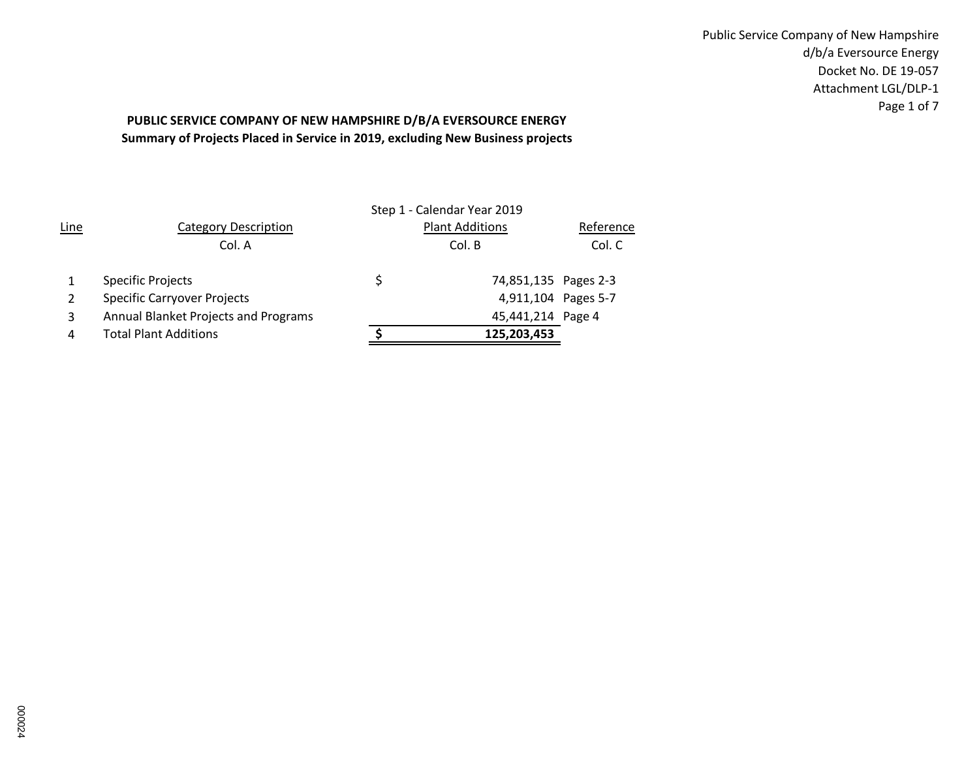Public Service Company of New Hampshire d/b/a Eversource Energy Docket No. DE 19-057 Attachment LGL/DLP-1 Page 1 of 7

# **Summary of Projects Placed in Service in 2019, excluding New Business projects PUBLIC SERVICE COMPANY OF NEW HAMPSHIRE D/B/A EVERSOURCE ENERGY**

|             |                                      | Step 1 - Calendar Year 2019 |           |
|-------------|--------------------------------------|-----------------------------|-----------|
| <b>Line</b> | <b>Category Description</b>          | <b>Plant Additions</b>      | Reference |
|             | Col. A                               | Col. B                      | Col. C    |
|             | <b>Specific Projects</b>             | 74,851,135 Pages 2-3        |           |
|             | <b>Specific Carryover Projects</b>   | 4,911,104 Pages 5-7         |           |
| 3           | Annual Blanket Projects and Programs | 45,441,214 Page 4           |           |
| 4           | <b>Total Plant Additions</b>         | 125,203,453                 |           |
|             |                                      |                             |           |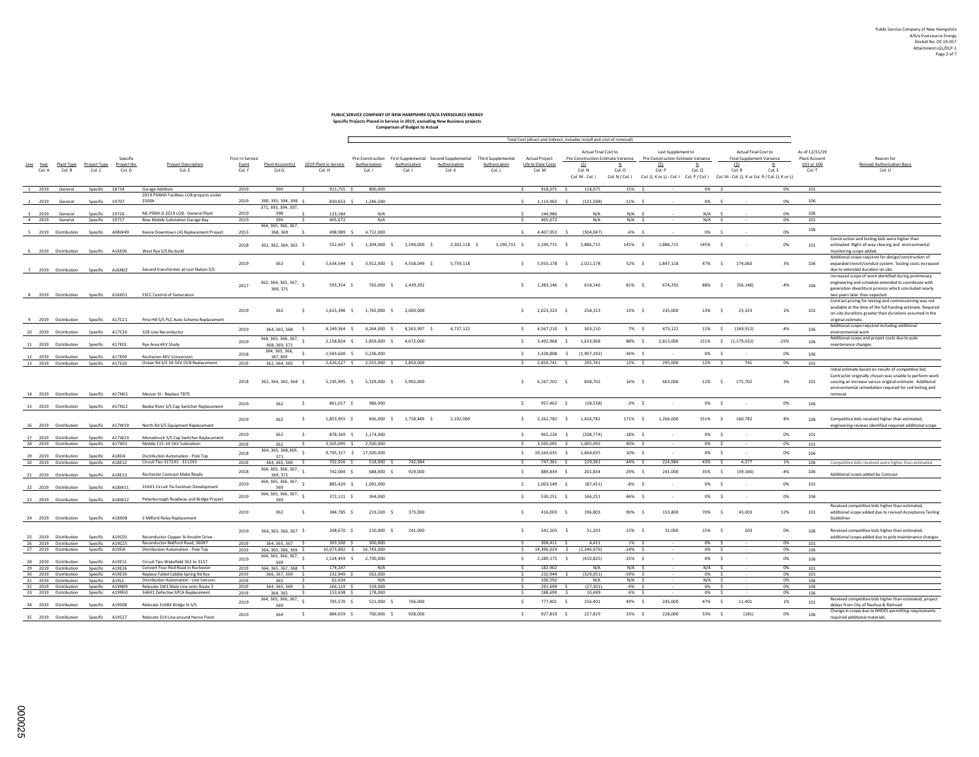### **PUBLIC SERVICE COMPANY OF NEW HAMPSHIRE D/B/A EVERSOURCE ENERGY**

|                                                              |                   |                      |                         |                                                                               |                           |                                              |                                |                | <b>Comparison of Budget to Actual</b> | Specific Projects Placed in Service in 2019, excluding New Business projects |                                     |                                      |                    |                           |                                                                        |     |                                            |               |        |                                                                                             |          |                             |                                                                                                                         |
|--------------------------------------------------------------|-------------------|----------------------|-------------------------|-------------------------------------------------------------------------------|---------------------------|----------------------------------------------|--------------------------------|----------------|---------------------------------------|------------------------------------------------------------------------------|-------------------------------------|--------------------------------------|--------------------|---------------------------|------------------------------------------------------------------------|-----|--------------------------------------------|---------------|--------|---------------------------------------------------------------------------------------------|----------|-----------------------------|-------------------------------------------------------------------------------------------------------------------------|
|                                                              |                   |                      |                         |                                                                               |                           |                                              |                                |                |                                       |                                                                              |                                     |                                      |                    |                           |                                                                        |     |                                            |               |        |                                                                                             |          |                             |                                                                                                                         |
|                                                              |                   |                      |                         |                                                                               |                           |                                              |                                |                |                                       |                                                                              |                                     |                                      |                    |                           | Total Cost (direct and indirect -includes install and cost of removal) |     |                                            |               |        |                                                                                             |          |                             |                                                                                                                         |
|                                                              |                   |                      |                         |                                                                               |                           |                                              |                                |                |                                       |                                                                              |                                     |                                      |                    |                           | Actual Final Cost to                                                   |     | Last Supplement to                         |               |        | Actual Final Cost to                                                                        |          | As of 12/31/19              |                                                                                                                         |
| Line Year Plant Type Project Type                            |                   |                      | Specific<br>Project No. | <b>Project Description</b>                                                    | First In Service<br>Event | Plant Account(s)                             | 2019 Plant in Service          | Authorization  | Authorization                         | Pre-Construction First Supplemental Second Supplemental<br>Authorization     | Third Supplemental<br>Authorization | Actual Project<br>Life to Date Costs |                    | (\$)                      | Pre-Construction Estimate Variance<br>$\frac{9}{26}$                   |     | Pre-Construction Estimate Variance<br>(\$) | %             |        | Final Supplement Variance<br>(S)<br>%                                                       |          | Plant Account<br>101 or 106 | Reason for<br><b>Revised Authorization Basis</b>                                                                        |
| Col. A                                                       | Col. B            | Col. C               | Col. D                  | Col. E                                                                        | Col. F                    | Col G.                                       | Col. H                         | Col. I         | Col. J                                | Col. K                                                                       | Col. L                              | Col. M                               |                    | Col. N                    | Col. O                                                                 |     | Col. P                                     | Col. Q        |        | Col. R<br>Col. S                                                                            |          | Col. T                      | Col. U                                                                                                                  |
|                                                              |                   |                      |                         |                                                                               |                           |                                              |                                |                |                                       |                                                                              |                                     |                                      |                    | Col. M - Col. I           | Col. N / Col. I                                                        |     |                                            |               |        | Col. (J, K or L) - Col. I Col. P / Col. I Col. M - Col. (J, K or I ol. R / Col. (J, K or L) |          |                             |                                                                                                                         |
| 1 2019 General                                               |                   | Specific 18734       |                         | Garage Addition                                                               | 2019                      | 390                                          | 915,755 \$                     | 800,000        |                                       |                                                                              |                                     |                                      | 918,075 \$         | 118,075                   | 15% \$                                                                 |     |                                            | 0% \$         |        |                                                                                             | 0%       | 101                         |                                                                                                                         |
|                                                              |                   |                      |                         | 2019 PSNHD Facilities LOB projects under                                      |                           |                                              |                                |                |                                       |                                                                              |                                     |                                      |                    |                           |                                                                        |     |                                            |               |        |                                                                                             |          |                             |                                                                                                                         |
| 2 2019 General                                               |                   | Specific 19707       |                         | \$500k                                                                        | 2019                      | 390, 391, 394, 398 \$<br>371, 393, 394, 397, | 830,653 \$                     | 1,246,500      |                                       |                                                                              |                                     |                                      | 1,114,902 \$       | (131, 598)                | $-11\%$ \$                                                             |     |                                            | 0% \$         |        |                                                                                             | 0%       | 106                         |                                                                                                                         |
| 2019 General                                                 |                   | Specific             | 19726                   | ML PSNH-D 2019 LOB - General Plant                                            | 2019                      | 398                                          | 123.184                        | N/A            |                                       |                                                                              |                                     |                                      | 144,980            |                           | N/A<br>N/A                                                             |     |                                            | N/A           |        |                                                                                             | 0%       | 106                         |                                                                                                                         |
| 4 2019 General                                               |                   | Specific             | 19757                   | Bow Mobile Substation Garage Bay                                              | 2019                      | 390<br>364.365.366.367.                      | 405.672                        | N/A            |                                       |                                                                              |                                     |                                      | 405,672            |                           | N/A<br>$N/A$ \$                                                        |     |                                            | N/A           | s.     |                                                                                             | 0%       | 101                         |                                                                                                                         |
| 5 2019 Distribution                                          |                   | Specific A08W49      |                         | Keene Downtown UG Replacement Project                                         | 2013                      | 368, 369                                     | 498,989 \$                     | 4,712,000      |                                       |                                                                              |                                     |                                      | 4,407,953 \$       |                           | (304, 047)<br>$-6\%$ \$                                                |     |                                            | 0% \$         |        |                                                                                             | 0%       | 106                         |                                                                                                                         |
|                                                              |                   |                      |                         |                                                                               | 2018                      | 361, 362, 364, 365 \$                        | 552,607 \$                     | 1,304,000 \$   | 1,590,000 \$                          | 2,302,118 \$                                                                 | 3,190,715 \$                        |                                      | 3,190,715          | 1,886,715                 | 145% S                                                                 |     | 1,886,715                                  | 145% \$       |        |                                                                                             | 0%       | 101                         | Construction and testing bids were higher than<br>estimated. Right-of-way clearing and environmental                    |
| 6 2019 Distribution Specific A16E06                          |                   |                      |                         | West Rye S/S Re-build                                                         |                           |                                              |                                |                |                                       |                                                                              |                                     |                                      |                    |                           |                                                                        |     |                                            |               |        |                                                                                             |          |                             | monitoring scope added.                                                                                                 |
|                                                              |                   |                      |                         |                                                                               |                           |                                              |                                |                |                                       |                                                                              |                                     |                                      |                    |                           |                                                                        |     |                                            |               |        |                                                                                             |          |                             | Additional scope required for design/construction of                                                                    |
| 7 2019 Distribution Specific A16N02                          |                   |                      |                         | Second transformer at Lost Nation S/S                                         | 2019                      | 362<br>– s                                   | 5,634,544 \$                   |                | 3,912,000 \$ 4,558,049 \$             | 5,759,118                                                                    |                                     |                                      |                    | \$ 5,933,178 \$ 2,021,178 | 52% \$                                                                 |     | 1,847,118                                  |               | 47% \$ | 174,060                                                                                     | 3%       | 106                         | expanded trench/conduit system. Testing costs increased<br>due to extended duration on site.                            |
|                                                              |                   |                      |                         |                                                                               |                           |                                              |                                |                |                                       |                                                                              |                                     |                                      |                    |                           |                                                                        |     |                                            |               |        |                                                                                             |          |                             | Increased scope of work identified during preliminary                                                                   |
|                                                              |                   |                      |                         |                                                                               | 2017                      | 362, 364, 365, 367, $\frac{1}{5}$            | 593,354 \$                     | 765,000 \$     | 1,439,292                             |                                                                              |                                     | $$1,383,146$ \$                      |                    | 618,146                   | 81%                                                                    | - S | 674,292                                    | 88% \$        |        | (56, 146)                                                                                   | $-4%$    | 106                         | engineering and schedule extended to coordinate with                                                                    |
| 8 2019 Distribution Specific A16X01                          |                   |                      |                         | <b>ESCC Control of Generation</b>                                             |                           | 369, 371                                     |                                |                |                                       |                                                                              |                                     |                                      |                    |                           |                                                                        |     |                                            |               |        |                                                                                             |          |                             | generation divestiture process which concluded nearly<br>two years later than expected.                                 |
|                                                              |                   |                      |                         |                                                                               |                           |                                              |                                |                |                                       |                                                                              |                                     |                                      |                    |                           |                                                                        |     |                                            |               |        |                                                                                             |          |                             | Contract pricing for testing and commissioning was not                                                                  |
|                                                              |                   |                      |                         |                                                                               | 2019                      | 362                                          | 1,615,396 \$<br>s.             | 1,765,000 \$   | 2,000,000                             |                                                                              |                                     | $\mathsf{S}$                         | 2,023,323          | 258,323                   | 15% \$                                                                 |     | 235,000                                    | 13% \$        |        | 23,323                                                                                      | 1%       | 101                         | available at the time of the full funding estimate. Required<br>on-site durations greater than durations assumed in the |
| 9 2019 Distribution                                          |                   | Specific A17C21      |                         | Pine Hill S/S PLC Auto Scheme Replacement                                     |                           |                                              |                                |                |                                       |                                                                              |                                     |                                      |                    |                           |                                                                        |     |                                            |               |        |                                                                                             |          |                             | original estimate.                                                                                                      |
|                                                              |                   |                      |                         |                                                                               | 2019                      | 364, 365, 368 \$                             | 4,249,364 \$                   | 4,264,000 \$   | 4,263,997 \$                          | 4,737,122                                                                    |                                     | $$4,567,210$ \$                      |                    |                           | 303,210<br>7% \$                                                       |     | 473,122                                    | 11% \$        |        | (169, 912)                                                                                  | $-4%$    | 106                         | Additional scope required including additional                                                                          |
| 10 2019 Distribution                                         |                   | Specific A17C26      |                         | 328 Line Reconductor                                                          |                           | 364, 365, 366, 367,                          |                                |                |                                       |                                                                              |                                     |                                      |                    |                           |                                                                        |     |                                            |               |        |                                                                                             |          |                             | environmental work<br>Additional scope and project costs due to pole                                                    |
| 11 2019 Distribution Specific A17E01                         |                   |                      |                         | Rve Area 4KV Study                                                            | 2019                      | 368.369.371                                  | 2,158,824 \$                   | 1,859,000 \$   | 4,672,000                             |                                                                              |                                     | \$3,492,968                          |                    | 1,633,968<br>s.           | 88% S                                                                  |     | 2,813,000                                  | 151% \$       |        | (1, 179, 032)                                                                               | $-25%$   | 106                         | maintenance changes.                                                                                                    |
|                                                              |                   |                      |                         | Rochester 4KV Conversion                                                      | 2018                      | 364, 365, 366,                               | 1,503,600 \$                   | 5.236.000      |                                       |                                                                              |                                     | s.                                   | 3,328,808          | (1,907,192)<br>- Ś        | $-36%$                                                                 |     |                                            | 0%            | Ś      |                                                                                             | 0%       | 106                         |                                                                                                                         |
| 12 2019 Distribution<br>13 2019 Distribution Specific A17E20 |                   | Specific A17E09      |                         | Ocean Rd S/S 34.5KV OCB Replacement                                           | 2019                      | 367,369<br>362, 364, 365 \$                  | 2,626,627 \$                   |                | 2,555,000 \$ 2,850,000                |                                                                              |                                     |                                      | 2.850.741 \$       | 295,741                   | 12% \$                                                                 |     | 295,000                                    | 12% \$        |        | 741                                                                                         | 0%       | 101                         |                                                                                                                         |
|                                                              |                   |                      |                         |                                                                               |                           |                                              |                                |                |                                       |                                                                              |                                     |                                      |                    |                           |                                                                        |     |                                            |               |        |                                                                                             |          |                             | Initial estimate based on results of competitive bid.                                                                   |
|                                                              |                   |                      |                         |                                                                               | 2018                      | 362, 364, 365, 368 \$                        | 5,195,995 \$                   | 5,329,000 \$   | 5,992,000                             |                                                                              |                                     | Ŝ.                                   | 6,167,702          | 838,702                   | 16%                                                                    |     | 663,000                                    | 12%           | $\sim$ | 175,702                                                                                     | 3%       | 101                         | Contractor originally chosen was unable to perform work<br>causing an increase versus original estimate. Additional     |
|                                                              |                   |                      |                         |                                                                               |                           |                                              |                                |                |                                       |                                                                              |                                     |                                      |                    |                           |                                                                        |     |                                            |               |        |                                                                                             |          |                             | environmental remediation required for soil testing and                                                                 |
| 14 2019 Distribution Specific A17N02                         |                   |                      |                         | Messer St - Replace TB70                                                      |                           |                                              |                                |                |                                       |                                                                              |                                     |                                      |                    |                           |                                                                        |     |                                            |               |        |                                                                                             |          |                             | removal.                                                                                                                |
| 15 2019 Distribution Specific A17N22                         |                   |                      |                         | Beebe River S/S Cap Switcher Replacement                                      | 2019                      | 362                                          | 861,017 \$<br>- Ś              | 986,000        |                                       |                                                                              |                                     | Ŝ.                                   | 957,462            |                           | (28.538)<br>$-3\%$ \$                                                  |     |                                            | 0% \$         |        |                                                                                             | 0%       | 106                         |                                                                                                                         |
|                                                              |                   |                      |                         |                                                                               |                           |                                              |                                |                |                                       |                                                                              |                                     |                                      |                    |                           |                                                                        |     |                                            |               |        |                                                                                             |          |                             |                                                                                                                         |
|                                                              |                   |                      |                         |                                                                               | 2019                      | 362                                          | 1,853,955 \$<br>- Ś            | 836,000 \$     | 1,758,489 \$                          | 2,102,000                                                                    |                                     | $\sim$                               | 2,262,782 \$       | 1,426,782                 | 171% \$                                                                |     | 1,266,000                                  | 151% \$       |        | 160,782                                                                                     | 8%       | 106                         | Competitive bids received higher than estimated.                                                                        |
| 16 2019 Distribution                                         |                   | Specific A17W19      |                         | North Rd S/S Equipment Replacement                                            |                           |                                              |                                |                |                                       |                                                                              |                                     |                                      |                    |                           |                                                                        |     |                                            |               |        | - 11                                                                                        |          |                             | engineering reviews identified required additional scope                                                                |
| 17 2019 Distribution                                         |                   | Specific A17W23      |                         | Monadnock S/S Cap Switcher Replacement                                        | 2019                      | 362                                          | 878,369 \$<br>- Ś              | 1,174,000      |                                       |                                                                              |                                     | s.                                   | 965,226            | (208, 774)<br>- Ś         | $-18\%$ \$                                                             |     |                                            | 0% \$         |        |                                                                                             | 0%       | 101                         |                                                                                                                         |
| 18 2019 Distribution Specific A17X01                         |                   |                      |                         | Mobile 115-34.5KV Substation                                                  | 2019                      | 362<br>364, 365, 368, 369,                   | 3,505,095 \$<br>s.             | 2,500,000      |                                       |                                                                              |                                     | Ŝ.                                   | 3,505,095          | 1,005,095<br>s.           | 40% \$                                                                 |     |                                            | 0%            | S.     |                                                                                             | 0%       | 101                         |                                                                                                                         |
| 2019 Distribution                                            |                   | Specific             | A18DA                   | Distribution Automation - Pole Top                                            | 2018                      | 371                                          | 9.795.317 \$                   | 17,500,000     |                                       |                                                                              |                                     | $\frac{1}{2}$                        | 19,164,635         | 1,664,635                 | 10% S                                                                  |     |                                            | 0% \$         |        |                                                                                             | 0%       | 106                         |                                                                                                                         |
| 20 2019 Distribution Specific A18E12                         |                   |                      |                         | Circuit Ties 3172X1 - 3112X3                                                  | 2019                      | 364.365.369 \$                               | 702,926 \$                     | 518,000 \$     | 742,984                               |                                                                              |                                     | $\leq$                               | 747,361 \$         | 229,361                   | 44% \$                                                                 |     | 224,984                                    | 43% \$        |        | 4,377                                                                                       | 1%       | 106                         | Competitive bids received were higher than estimated                                                                    |
| 21 2019 Distribution Specific A18E23                         |                   |                      |                         | <b>Rochester Comcast Make Ready</b>                                           | 2018                      | 364, 365, 366, 367,<br>369, 371              | 742,004 \$                     | 688,000 \$     | 929,000                               |                                                                              |                                     | $\frac{1}{2}$                        | 889,834 \$         | 201,834                   | 29% \$                                                                 |     | 241,000                                    | 35% \$        |        | (39, 166)                                                                                   | $-4%$    | 106                         | Additional scope added by Comcast                                                                                       |
|                                                              |                   |                      |                         |                                                                               | 2019                      | 364, 365, 366, 367,                          | 885,429 \$                     | 1,091,000      |                                       |                                                                              |                                     | $\mathsf{S}$                         | 1,003,549<br>- 5   |                           | (87.451)<br>$-8\%$ \$                                                  |     | $\sim$                                     | 0% \$         |        |                                                                                             | 0%       | 101                         |                                                                                                                         |
| 22 2019 Distribution Specific A18W11                         |                   |                      |                         | 316X1 Circuit Tie Eastman Development                                         |                           | 369<br>364, 365, 366, 367,                   |                                |                |                                       |                                                                              |                                     |                                      |                    |                           |                                                                        |     |                                            |               |        |                                                                                             |          |                             |                                                                                                                         |
| 23 2019 Distribution Specific A18W22                         |                   |                      |                         | Peterborough Roadway and Bridge Project                                       | 2019                      | 369                                          | 372.121 \$                     | 364,000        |                                       |                                                                              |                                     | S.                                   | 530.251 \$         | 166,251                   | 46% \$                                                                 |     | $\sim$                                     | 0% \$         |        |                                                                                             | 0%       | 106                         |                                                                                                                         |
|                                                              |                   |                      |                         |                                                                               | 2019                      | 362                                          | 384,785 \$<br>$\sim$           | 219,200 \$     | 373,000                               |                                                                              |                                     | s.                                   | 416,003            | 196,803                   | 90% \$                                                                 |     | 153,800                                    | 70% \$        |        | 43,003                                                                                      |          | 101                         | Received competitive bids higher than estimated,                                                                        |
| 24 2019 Distribution Specific A18X08                         |                   |                      |                         | S Milford Relay Replacement                                                   |                           |                                              |                                |                |                                       |                                                                              |                                     |                                      |                    |                           |                                                                        |     |                                            |               |        |                                                                                             | 12%      |                             | additional scope added due to revised Acceptance Testing<br>Guidelines                                                  |
|                                                              |                   |                      |                         |                                                                               |                           |                                              |                                |                |                                       |                                                                              |                                     |                                      |                    |                           |                                                                        |     |                                            |               |        |                                                                                             |          |                             |                                                                                                                         |
| 25 2019 Distribution                                         |                   | Specific A19C05      |                         | Reconductor Copper St Anselm Drive                                            | 2019                      | 364, 365, 366, 367 \$                        | 208,670 \$                     | 210,000 \$     | 241,000                               |                                                                              |                                     | \$                                   | 241,203            | - Ś                       | 31,203<br>15% \$                                                       |     | 31,000                                     | 15% \$        |        | 203                                                                                         | 0%       | 106                         | Received competitive bids higher than estimated,<br>additional scope added due to pole maintenance changes              |
| 26 2019 Distribution                                         |                   | Specific A19C25      |                         | Reconductor Bedford Road, 360X7                                               | 2019                      | 364, 365, 367 \$                             | $303,500$ \$                   | 300,000        |                                       |                                                                              |                                     | $\sim$                               | 304.411 \$         |                           | 4.411<br>$1\%$ S                                                       |     |                                            | በ% \$         |        |                                                                                             | 0%       | 101                         |                                                                                                                         |
| 27 2019 Distribution Specific A19DA                          |                   |                      |                         | Distribution Automation - Pole Top                                            | 2019                      | 364.365.366.369 \$                           | 10,073,842 \$                  | 16,743,000     |                                       |                                                                              |                                     |                                      | 14 396 024 \$      | (2.346.976)               | $-14\%$ $($                                                            |     |                                            | 0%            |        |                                                                                             | 0%       | 106                         |                                                                                                                         |
| 28 2019 Distribution                                         |                   | Specific A19E11      |                         | Circuit Ties-Wakefield 362 to 3157                                            | 2019                      | 364, 365, 366, 367,<br>369                   | 1,524,459 \$                   | 2,700,000      |                                       |                                                                              |                                     | $\frac{1}{2}$                        | 2,289,175 \$       | (410, 825)                | $-15\%$ \$                                                             |     |                                            | 0% \$         |        |                                                                                             | 0%       | 106                         |                                                                                                                         |
| 29 2019 Distribution                                         |                   | Specific A19E26      |                         | Convert Four Rod Road in Rochester                                            | 2019                      | 364, 365, 367, 368 \$                        | 174, 247                       | N/A            |                                       |                                                                              |                                     |                                      | 182,902            |                           | N/A<br>N/A S                                                           |     |                                            | $N/A$ $\zeta$ |        |                                                                                             | 0%       | 101                         |                                                                                                                         |
| 30 2019 Distribution                                         |                   | Specific             | A19E39                  | Replace Failed Cabble Spring Rd Rye                                           | 2019                      | 366.367.369 \$                               | 232,949 \$                     | 562,000<br>N/A |                                       |                                                                              |                                     |                                      | 232,949            |                           | (329, 051)<br>-59% \$                                                  |     |                                            | 0%            |        |                                                                                             | 0%       | 101                         |                                                                                                                         |
| 31<br>32 2019 Distribution                                   | 2019 Distribution | Specific<br>Specific | A19LS<br>A19N09         | Distribution Automation - Line Sensors<br>Relocate 1W1 Main Line onto Route 3 | 2019<br>2019              | 365<br>364, 365, 369                         | 62,634<br>266.119 \$<br>$\sim$ | 319,000        |                                       |                                                                              |                                     | $\sim$                               | 100,592<br>291.699 |                           | N/A<br>N/A<br>(27.301)<br>$-9%$ \$                                     |     |                                            | N/A<br>0%     |        |                                                                                             | 0%<br>0% | 106<br>106                  |                                                                                                                         |
| 33 2019 Distribution                                         |                   | Specific A19N50      |                         | 346X1 Defective SPCA Replacement                                              | 2019                      | 364 365                                      | 153,638 \$                     | 178,000        |                                       |                                                                              |                                     |                                      | 188,699            |                           | 10,699<br>6% S                                                         |     |                                            | 0%            |        |                                                                                             | 0%       | 106                         |                                                                                                                         |
| 34 2019 Distribution Specific A19S08                         |                   |                      |                         | Relocate 3168X Bridge St S/S                                                  | 2019                      | 364, 365, 366, 367,<br>369                   | 705,570 \$                     | 521,000 \$     | 766,000                               |                                                                              |                                     | $\sim$                               | 777,401 \$         | 256,401                   | 49% \$                                                                 |     | 245,000                                    | 47% \$        |        | 11,401                                                                                      | 1%       | 101                         | Received competitive bids higher than estimated, project<br>delays from City of Nashua & Railroad                       |
|                                                              |                   |                      |                         |                                                                               | 2019                      | 364                                          | 884,659 \$<br>- Ś              | 700,000 \$     | 928,000                               |                                                                              |                                     | S.                                   | 927,819<br>- S     | 227,819                   | 33%                                                                    | - S | 228,000                                    | 33%           | - Ś    | (181)                                                                                       | 0%       | 106                         | Change in scope due to NHDES permitting requirements                                                                    |
| 35 2019 Distribution                                         |                   | Specific A19S27      |                         | Relocate 314 Line around Heron Pond                                           |                           |                                              |                                |                |                                       |                                                                              |                                     |                                      |                    |                           |                                                                        |     |                                            |               |        |                                                                                             |          |                             | required additional materials.                                                                                          |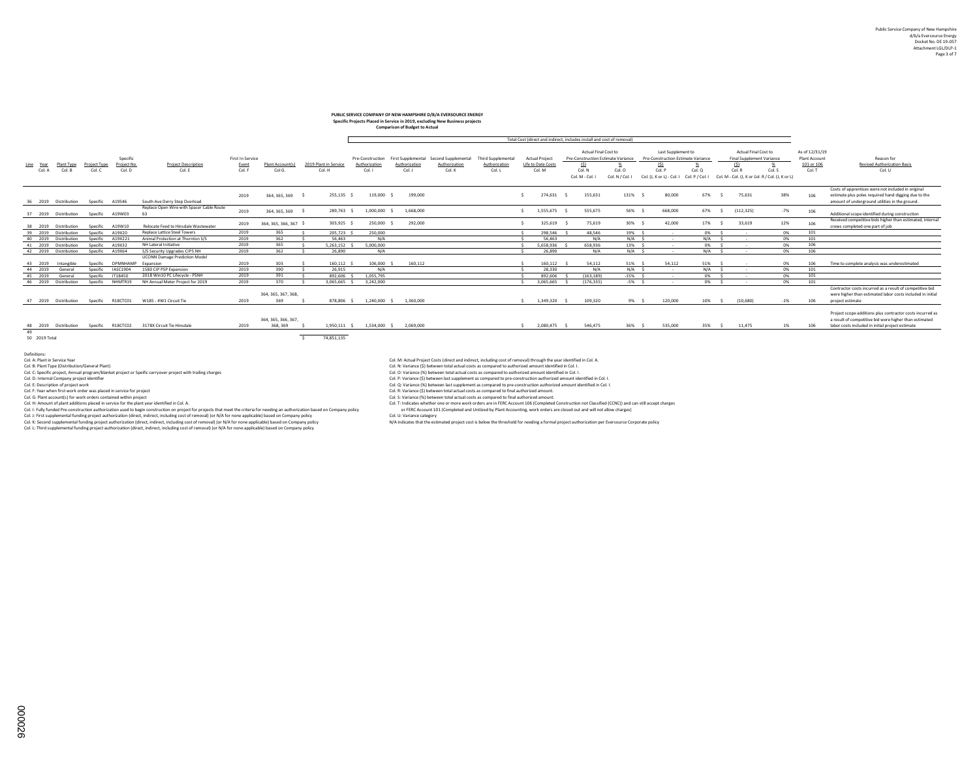# **PUBLIC SERVICE COMPANY OF NEW HAMPSHIRE D/B/A EVERSOURCE ENERGY Specific Projects Placed in Service in 2019, excluding New Business projects**

| <b>Comparison of Budget to Actual</b> |                      |                               |                    |                                                 |                  |                             |                       |                  |               |                                        |                           |                       |                    |                         |                                                                        |                                                          |               |                                                   |                                                             |                                 |                                                                                                                                                                         |
|---------------------------------------|----------------------|-------------------------------|--------------------|-------------------------------------------------|------------------|-----------------------------|-----------------------|------------------|---------------|----------------------------------------|---------------------------|-----------------------|--------------------|-------------------------|------------------------------------------------------------------------|----------------------------------------------------------|---------------|---------------------------------------------------|-------------------------------------------------------------|---------------------------------|-------------------------------------------------------------------------------------------------------------------------------------------------------------------------|
|                                       |                      |                               |                    |                                                 |                  |                             |                       |                  |               |                                        |                           |                       |                    |                         | Total Cost (direct and indirect, includes install and cost of removal) |                                                          |               |                                                   |                                                             |                                 |                                                                                                                                                                         |
|                                       |                      |                               | Specific           |                                                 | First In Service |                             |                       | Pre-Construction |               | First Supplemental Second Supplemental | <b>Third Supplemental</b> | <b>Actual Project</b> |                    |                         | Actual Final Cost to<br>Pre-Construction Estimate Variance             | Last Supplement to<br>Pre-Construction Estimate Variance |               | Actual Final Cost to<br>Final Supplement Variance |                                                             | As of 12/31/19<br>Plant Account | Reason for                                                                                                                                                              |
| Line Year                             | Plant Type           | <b>Project Type</b><br>Col. C | Project No.        | <b>Project Description</b>                      | Event            | Plant Accountís]            | 2019 Plant in Service | Authorization    | Authorization | Authorization<br>Col. K                | Authorization             | Col. M                | Life to Date Costs | $\sqrt{2}$              |                                                                        | (S)                                                      | Col. Q        | (S)                                               |                                                             | 101 or 106                      | <b>Revised Authorization Basis</b>                                                                                                                                      |
| Col. A                                | Col. B               |                               | Col. D             | Col. E                                          | Col. F           | Col G.                      | Col. H                | Col. I           | Col. J        |                                        | Col. L                    |                       |                    | Col. N<br>Col. M - Col. | Col. O<br>Col. N / Col.                                                | Col. P<br>Col. (J, K or L) - Col. I                      | Col. P / Col. | Col. R                                            | Col. S<br>Col. M - Col. (J. K or I'ol. R / Col. (J. K or L) | Col. T                          | Col. U                                                                                                                                                                  |
| 36 2019                               | Distribution         | Specific A19S46               |                    | South Ave Derry Step Overload                   | 2019             | 364, 365, 369               | 255.135               | 119,000          | 199,000       |                                        |                           |                       | 274.631            | 155.631                 | 131%                                                                   | 80,000                                                   | 67%           | 75.631                                            | 38%                                                         | 106                             | Costs of apprentices were not included in original<br>estimate plus poles required hand digging due to the<br>amount of underground utilities in the ground.            |
| 37 2019                               | Distribution         | Specific                      | A19W03             | Replace Open Wire with Spacer Cable Route<br>63 | 2019             | 364, 365, 369               | 289.763 \$            | 1.000.000        | 1,668,000     |                                        |                           |                       | 1.555.675          | 555,675                 | 56% \$                                                                 | 668,000                                                  | 67%           | (112, 325)                                        | $-7%$                                                       | 106                             | Additional scope identified during construction                                                                                                                         |
| 38 2019                               | Distribution         | Specific                      | A19W10             | Relocate Feed to Hinsdale Wastewater            | 2019             | 364, 365, 366, 367 \$       | 303,925 \$            | 250,000          | 292,000       |                                        |                           |                       | 325,619            | 75,619                  | 30% \$                                                                 | 42,000                                                   | 17%           | 33,619                                            | 12%                                                         | 106                             | Received competitive bids higher than estimated, internal<br>crews completed one part of job                                                                            |
|                                       | 39 2019 Distribution | Specific                      | A19X20             | <b>Replace Lattice Steel Towers</b>             | 2019             | 365                         | 205,723               | 250,000          |               |                                        |                           |                       | 298.546            | 48,546                  | 19% \$                                                                 | $\sim$                                                   | 0%            | $\sim$                                            | 0%                                                          | 101                             |                                                                                                                                                                         |
|                                       | 40 2019 Distribution |                               | Specific A19X221   | Animal Protection at Thornton S/S               | 2019             | 362                         | 56.463                | N/A              |               |                                        |                           |                       | 56.463             | N/A                     | $N/A$ S                                                                |                                                          | $N/A$ $S$     | $\sim$                                            | 0%                                                          | 101                             |                                                                                                                                                                         |
|                                       | 41 2019 Distribution | Specific                      | A19X32             | NH Lateral Initiative                           | 2019             | 365                         | 5.263.152             | 5.000.000        |               |                                        |                           |                       | 5.658.936          | 658,936                 | 13% S                                                                  | $\sim$                                                   | 0%            |                                                   | 0%                                                          | 106                             |                                                                                                                                                                         |
|                                       | 42 2019 Distribution | Specific                      | A19X64             | S/S Security Upgrades CIPS NH                   | 2019             | 362                         | 26,890                | N/A              |               |                                        |                           |                       | 26,890             | N/A                     | $N/A$ S                                                                | $\sim$                                                   | N/A           |                                                   | 0%                                                          | 106                             |                                                                                                                                                                         |
| 43 2019                               | Intangible           | Specific                      | DPMNHAMP Expansion | <b>UCONN Damage Prediction Model</b>            | 2019             | 303                         | 160.112               | 106,000          | 160,112       |                                        |                           |                       | 160.112            | 54.112                  | $51\%$ $\leq$                                                          | 54.112                                                   | 51%           | $\sim$                                            | 0%                                                          | 106                             | Time to complete analysis was underestimated                                                                                                                            |
| 44 2019                               | General              | Specific                      | <b>IASC1904</b>    | 1580 CIP PSP Expansion                          | 2019             | 390                         | 26.915                | N/A              |               |                                        |                           |                       | 28,330             | N/A                     | $N/A$ 5                                                                | $\sim$                                                   | N/A           | $\sim$                                            | 0%                                                          | 101                             |                                                                                                                                                                         |
| 45 2019                               | General              | Specific                      | IT18450            | 2018 Win10 PC Lifecycle - PSNH                  | 2019             | 391                         | 892,606               | 1.055.795        |               |                                        |                           |                       | 892.606            | (163.189)               | $-15%$ S                                                               |                                                          | 0%            |                                                   | 0%                                                          | 101                             |                                                                                                                                                                         |
|                                       | 46 2019 Distribution |                               | Specific NHMTR19   | NH Annual Meter Project for 2019                | 2019             | 370                         | 3.065.665             | 3.242.000        |               |                                        |                           |                       | 3.065.665          | (176.335)               | $-5\%$ \$                                                              | $\sim$                                                   | 0% S          | $\sim$                                            | 0%                                                          | 101                             |                                                                                                                                                                         |
| 47 2019                               | Distribution         | Specific                      | R18CTC01           | W185 - 4W1 Circuit Tie                          | 2019             | 364, 365, 367, 368,<br>369  | 878,806 \$            | 1.240.000 \$     | 1.360.000     |                                        |                           |                       | 1.349.320          | 109.320                 | 9% \$                                                                  | 120,000                                                  | 10% \$        | (10.680)                                          | $-1%$                                                       | 106                             | Contractor costs incurred as a result of competitive bid<br>were higher than estimated labor costs included in initial<br>project estimate                              |
| 48 2019                               | Distribution         |                               | Specific R18CTC02  | 3178X Circuit Tie Hinsdale                      | 2019             | 364.365.366.367.<br>368.369 | 1.950.111 \$          | 1.534.000 \$     | 2.069.000     |                                        |                           |                       | 2.080.475          | 546,475                 | 36% \$                                                                 | 535,000                                                  | 35% \$        | 11.475                                            | 1%                                                          | 106                             | Project scope additions plus contractor costs incurred as<br>a result of competitive bid were higher than estimated<br>labor costs included in initial project estimate |

49<br>50 2019 Total

50 2019 Total \$ 74,851,135

Definitions:<br>Col. A: Plant in Service Year

Col. Revime man the state of the state of the state of the state of the Col. State of State of State of State of State of State of State of State of State of State of State of State of State of State of State of the Barbon

Col. K:scond supplemental funding project authorization (direct, including cost of removal) or NA por none applicable) based on Company policy of MA indicates that the estimated project cost of behavior based on the projec

Col. M: Actual Project Costs (direct and indirect, including cost of removal) through the year identified in Col. A. Plant in Col. A. Plant in Col. A. Plant in Col. A. Plant in Col. A. Plant in Col. A. Plant in Col. A. Pla

Col. B: Maximum (States) and the material of the state of the state of the state of the state of the state of the state of the state of the state of the state of the state of the state of the state of the state of the stat

Col.D. https://www.magnitude.magnitude.magnitude.magnitude.magnitude.magnitude.magnitude.magnitude.magnitude.m<br>Col.C. University of the control of the control of the control of the control of the control of the control of<br>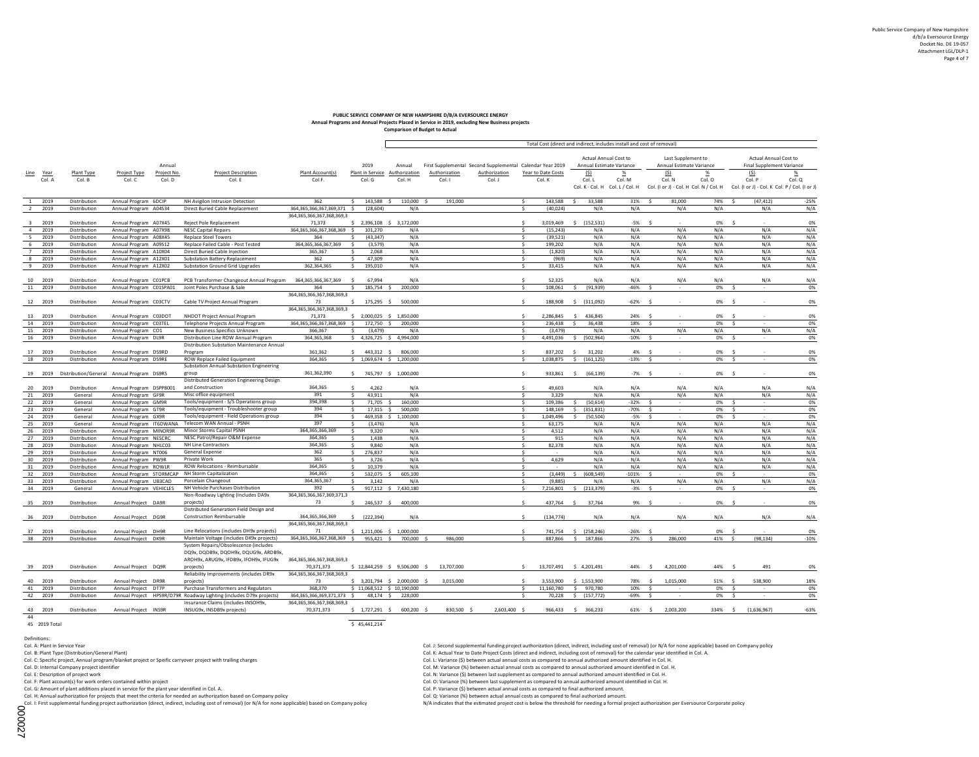### **Annual Programs and Annual Projects Placed in Service in 2019, excluding New Business projects Comparison of Budget to Actual PUBLIC SERVICE COMPANY OF NEW HAMPSHIRE D/B/A EVERSOURCE ENERGY**

|                          |                              |                                                   |                                                                                                             |                                           |                                      |                             |                 |                                                           |                                      | Total Cost (direct and indirect, includes install and cost of removal) |                              |                                                                                  |                 |                                                         |                 |
|--------------------------|------------------------------|---------------------------------------------------|-------------------------------------------------------------------------------------------------------------|-------------------------------------------|--------------------------------------|-----------------------------|-----------------|-----------------------------------------------------------|--------------------------------------|------------------------------------------------------------------------|------------------------------|----------------------------------------------------------------------------------|-----------------|---------------------------------------------------------|-----------------|
|                          |                              |                                                   |                                                                                                             |                                           |                                      |                             |                 |                                                           |                                      |                                                                        | <b>Actual Annual Cost to</b> | Last Supplement to                                                               |                 | Actual Annual Cost to                                   |                 |
|                          |                              | Annual                                            |                                                                                                             |                                           | 2019                                 | Annual                      |                 | First Supplemental Second Supplemental Calendar Year 2019 |                                      | Annual Estimate Variance                                               |                              | Annual Estimate Variance                                                         |                 | <b>Final Supplement Variance</b>                        |                 |
| Line<br>Year             | Plant Type                   | Project Type<br>Project No.                       | <b>Project Description</b>                                                                                  | Plant Account(s)                          | Plant in Service                     | Authorization               | Authorization   | Authorization                                             | Year to Date Costs                   | (5)                                                                    | $\frac{96}{6}$               | S                                                                                | $\frac{\%}{\%}$ | (S)                                                     | $\frac{\%}{\%}$ |
| Col. A                   | Col. B                       | Col. C<br>Col. D                                  | Col. E                                                                                                      | Col F.                                    | Col. G                               | Col. H                      | Col. I          | Col. J                                                    | Col. K                               | Col. L                                                                 | Col. M                       | Col. N<br>Col. K - Col. H Col. L / Col. H Col. (I or J) - Col. H Col. N / Col. H | Col. O          | Col. P<br>Col. (I or J) - Col. K Col. P / Col. (I or J) | Col. Q          |
|                          |                              |                                                   |                                                                                                             |                                           |                                      |                             |                 |                                                           |                                      |                                                                        |                              |                                                                                  |                 |                                                         |                 |
| 2019<br><sup>1</sup>     | Distribution                 | Annual Program 6DCIP                              | NH Avigilon Intrusion Detection                                                                             | 362                                       | \$<br>143,588                        | $\sim$<br>110,000           | 191,000         |                                                           | 143,588                              | 33,588                                                                 | 31%                          | Ś<br>81,000                                                                      | 74%             | (47, 412)<br><b>S</b>                                   | $-25%$          |
| 2019<br>$\overline{2}$   | Distribution                 | Annual Program A04S34                             | Direct Buried Cable Replacement                                                                             | 364,365,366,367,369,371 \$                | (28, 604)                            | N/A                         |                 |                                                           | (40, 024)<br>\$                      | N/A                                                                    | N/A                          | N/A                                                                              | N/A             | N/A                                                     | N/A             |
| 2019<br>$\mathbf{R}$     | Distribution                 |                                                   | Reject Pole Replacement                                                                                     | 364, 365, 366, 367, 368, 369, 3<br>71,373 |                                      |                             |                 |                                                           | 3.019.469<br>$\ddot{\phantom{1}}$    | $\sim$                                                                 | $-5%$                        |                                                                                  | 0%              |                                                         |                 |
| $\overline{4}$<br>2019   | Distribution                 | Annual Program A07X45<br>Annual Program A07X98    | <b>NESC Capital Repairs</b>                                                                                 | 364, 365, 366, 367, 368, 369 \$           | \$ 2,396,108 \$ 3,172,000<br>101,270 | N/A                         |                 |                                                           | $\ddot{\phantom{1}}$<br>(15, 243)    | (152, 531)<br>N/A                                                      | N/A                          | S.<br>N/A                                                                        | N/A             | N/A                                                     | 0%<br>N/A       |
| 5<br>2019                | Distribution                 | Annual Program A08X45                             | <b>Replace Steel Towers</b>                                                                                 | 364                                       | (43, 347)<br>Ś.                      | N/A                         |                 |                                                           | s.<br>(39, 521)                      | N/A                                                                    | N/A                          | N/A                                                                              | N/A             | N/A                                                     | N/A             |
| 6<br>2019                | Distribution                 | Annual Program A09S12                             | Replace Failed Cable - Post Tested                                                                          | 364.365.366.367.369                       | $\ddot{\mathbf{S}}$<br>(3.579)       | N/A                         |                 |                                                           | $\ddot{\mathbf{S}}$<br>199.202       | N/A                                                                    | N/A                          | N/A                                                                              | N/A             | N/A                                                     | N/A             |
| 7<br>2019                | Distribution                 | Annual Program A10X04                             | Direct Buried Cable Injection                                                                               | 365,367                                   | s.<br>2,068                          | N/A                         |                 |                                                           | (1,820)<br>s.                        | N/A                                                                    | N/A                          | N/A                                                                              | N/A             | N/A                                                     | N/A             |
| 8<br>2019                | Distribution                 | Annual Program A12X01                             | <b>Substation Battery Replacement</b>                                                                       | 362                                       | \$<br>47,309                         | N/A                         |                 |                                                           | s.<br>(969)                          | N/A                                                                    | N/A                          | N/A                                                                              | N/A             | N/A                                                     | N/A             |
| 9<br>2019                | Distribution                 | Annual Program A12X02                             | <b>Substation Ground Grid Upgrades</b>                                                                      | 362,364,365                               | \$<br>195,010                        | N/A                         |                 |                                                           | $\ddot{\mathbf{S}}$<br>33,415        | N/A                                                                    | N/A                          | N/A                                                                              | N/A             | N/A                                                     | N/A             |
| 10<br>2019               | Distribution                 | Annual Program C01PCB                             | PCB Transformer Changeout Annual Program 364,365,366,367,369                                                |                                           | $\ddot{s}$<br>67,994                 | N/A                         |                 |                                                           | $\ddot{\mathbf{s}}$<br>52,325        | N/A                                                                    | N/A                          | N/A                                                                              | N/A             | N/A                                                     | N/A             |
| 11<br>2019               | Distribution                 | Annual Program C01SPA01                           | Joint Poles Purchase & Sale                                                                                 | 364                                       | \$<br>185,754 \$                     | 200,000                     |                 |                                                           | s.<br>108.061                        | $\hat{\mathbf{S}}$<br>(91, 939)                                        | $-46%$                       | $\ddot{\mathbf{S}}$                                                              | 0%              | $\ddot{\mathbf{S}}$                                     | 0%              |
|                          |                              |                                                   |                                                                                                             | 364, 365, 366, 367, 368, 369, 3           |                                      |                             |                 |                                                           |                                      |                                                                        |                              |                                                                                  |                 |                                                         |                 |
| 12 2019                  | Distribution                 | Annual Program C03CTV                             | Cable TV Project Annual Program                                                                             | 73                                        | $\ddot{\mathbf{S}}$<br>175,295 \$    | 500,000                     |                 |                                                           | 188.908                              | (311,092)<br>$\ddot{\mathbf{S}}$                                       | $-62%$                       | <b>S</b>                                                                         | 0% \$           |                                                         | 0%              |
|                          |                              |                                                   |                                                                                                             | 364.365.366.367.368.369.3                 |                                      |                             |                 |                                                           |                                      |                                                                        |                              |                                                                                  |                 |                                                         |                 |
| 13<br>2019<br>14<br>2019 | Distribution<br>Distribution | Annual Program C03DOT                             | NHDOT Project Annual Program                                                                                | 71,373                                    | $$2,000,025$$ $$1,850,000$           | 200,000                     |                 |                                                           | 2,286,845<br>s.<br>236,438           | 436,845<br>s<br>36,438<br>-Ŝ                                           | 24%<br>18%                   | Ś                                                                                | 0%<br>0%        | -Ś<br>\$.                                               | 0%              |
| 15<br>2019               | Distribution                 | Annual Program C03TEL<br>Annual Program CO1       | Telephone Projects Annual Program<br>New Business Specifics Unknown                                         | 364,365,366,367,368,369 \$<br>366,367     | 172,750 \$<br>(3,479)<br>Ŝ.          | N/A                         |                 |                                                           | s.<br>(3, 479)                       | N/A                                                                    | N/A                          | N/A                                                                              | N/A             | N/A                                                     | 0%<br>N/A       |
| 16 2019                  | Distribution                 | Annual Program DL9R                               | Distribution Line ROW Annual Program                                                                        | 364,365,368                               | \$4,326,725 \$4,994,000              |                             |                 |                                                           | 4,491,036<br>\$                      | \$ (502,964)                                                           | $-10%$                       | Ŝ.<br>$\sim$                                                                     | 0%              | -\$<br><b>1979</b>                                      | 0%              |
|                          |                              |                                                   | Distribution Substation Maintenance Annual                                                                  |                                           |                                      |                             |                 |                                                           |                                      |                                                                        |                              |                                                                                  |                 |                                                         |                 |
| 17<br>2019               | Distribution                 | Annual Program DS9RD                              | Program                                                                                                     | 361.362                                   | 443.312 \$<br>$\ddot{\mathbf{S}}$    | 806,000                     |                 |                                                           | 837.202<br>$\ddot{\phantom{1}}$      | 31.202<br>$\leq$                                                       | 4%                           | $\sim$                                                                           | 0%              | - 5                                                     | 0%              |
| 2019<br>18               | Distribution                 | Annual Program DS9RE                              | <b>ROW Replace Failed Equipment</b>                                                                         | 364,365                                   | $$1,069,674$$ \$ 1,200,000           |                             |                 |                                                           | s.<br>1,038,875                      | $\ddot{s}$<br>(161, 125)                                               | $-13%$                       | ¢                                                                                | 0%              | $\ddot{\mathbf{S}}$                                     | 0%              |
|                          |                              |                                                   | Substation Annual-Substation Engineering                                                                    |                                           |                                      |                             |                 |                                                           |                                      |                                                                        |                              |                                                                                  |                 |                                                         |                 |
|                          |                              | 19 2019 Distribution/General Annual Program DS9RS | group                                                                                                       | 361,362,390                               | \$745,797 \$1,000,000                |                             |                 |                                                           | $\sim$<br>933,861                    | (66, 139)<br>s.                                                        | $-7%$                        | $\sim$                                                                           | 0%              | s.                                                      | 0%              |
| 20<br>2019               | Distribution                 | Annual Program DSPP8001                           | Distributed Generation Engineering Design<br>and Construction                                               | 364,365                                   | $\ddot{\mathbf{S}}$<br>4,262         | N/A                         |                 |                                                           | 49,603                               | N/A                                                                    | N/A                          | N/A                                                                              | N/A             | N/A                                                     | N/A             |
| 21<br>2019               | General                      | Annual Program GF9R                               | Misc office equipment                                                                                       | 391                                       | \$<br>43,911                         | N/A                         |                 |                                                           | s.<br>3.329                          | N/A                                                                    | N/A                          | N/A                                                                              | N/A             | N/A                                                     | N/A             |
| 22<br>2019               | General                      | Annual Program GM9R                               | Tools/equipment - S/S Operations group                                                                      | 394,398                                   | $\hat{\mathbf{S}}$<br>71,705         | 160,000                     |                 |                                                           | $\epsilon$<br>109,386                | (50, 614)                                                              | -32%                         |                                                                                  | 0%              |                                                         | 0%              |
| 23<br>2019               | General                      | Annual Program GT9R                               | Tools/equipment - Troubleshooter group                                                                      | 394                                       | $\ddot{\mathbf{S}}$<br>17,315        | 500,000<br>$\sim$           |                 |                                                           | $\zeta$<br>148,169                   | (351, 831)<br>Ś.                                                       | -70%                         | Š.                                                                               | 0%              | Ś                                                       | 0%              |
| 24<br>2019               | General                      | Annual Program GX9R                               | Tools/equipment - Field Operations group                                                                    | 394<br>397                                | Ś.<br>469.358                        | \$1,100,000                 |                 |                                                           | s.<br>1.049.496                      | Ś<br>(50.504)                                                          | $-5%$                        | Š.                                                                               | 0%              | Ś.                                                      | 0%              |
| 25<br>2019<br>26<br>2019 | General<br>Distribution      | Annual Program IT6DWANA<br>Annual Program MINOR9R | Telecom WAN Annual - PSNH<br>Minor Storms Capital PSNH                                                      | 364, 365, 366, 369                        | (3,476)<br>Ś.<br>s.<br>9,320         | N/A<br>N/A                  |                 |                                                           | 63,175<br>s.<br>4,512<br>-Ŝ          | N/A<br>N/A                                                             | N/A<br>N/A                   | N/A<br>N/A                                                                       | N/A<br>N/A      | N/A<br>N/A                                              | N/A<br>N/A      |
| 27<br>2019               | Distribution                 | Annual Program NESCRC                             | NESC Patrol/Repair O&M Expense                                                                              | 364,365                                   | \$<br>1,438                          | N/A                         |                 |                                                           | s.<br>915                            | N/A                                                                    | N/A                          | N/A                                                                              | N/A             | N/A                                                     | N/A             |
| 28<br>2019               | Distribution                 | Annual Program NHLC03                             | NH Line Contractors                                                                                         | 364,365                                   | \$<br>9,840                          | N/A                         |                 |                                                           | \$<br>82,378                         | N/A                                                                    | N/A                          | N/A                                                                              | N/A             | N/A                                                     | N/A             |
| 29<br>2019               | Distribution                 | Annual Program NT006                              | General Expense                                                                                             | 362                                       | \$<br>276,837                        | N/A                         |                 |                                                           | $\sim$                               | N/A                                                                    | N/A                          | N/A                                                                              | N/A             | N/A                                                     | N/A             |
| 30<br>2019               | Distribution                 | Annual Program PW9R                               | Private Work                                                                                                | 365                                       | \$<br>3.726                          | N/A                         |                 |                                                           | \$<br>4.629                          | N/A                                                                    | N/A                          | N/A                                                                              | N/A             | N/A                                                     | N/A             |
| 31<br>2019               | Distribution                 | Annual Program ROWLR                              | ROW Relocations - Reimbursable                                                                              | 364,365                                   | 10,379<br>\$                         | N/A                         |                 |                                                           | s.<br>$\sim$                         | N/A                                                                    | N/A                          | N/A                                                                              | N/A             | N/A                                                     | N/A             |
| 32<br>2019               | Distribution                 | Annual Program STORMCAP                           | NH Storm Capitalization                                                                                     | 364,365<br>364.365.367                    | 532,075<br>$\ddot{\mathbf{S}}$       | 605,100                     |                 |                                                           | (3, 449)<br>$\ddot{\mathbf{S}}$      | (608.549)                                                              | 101%                         |                                                                                  | 0%              |                                                         | 0%              |
| 33<br>2019<br>34<br>2019 | Distribution<br>General      | Annual Program UB3CAD<br>Annual Program VEHICLES  | Porcelain Changeout<br>NH Vehicle Purchases Distribution                                                    | 392                                       | Š.<br>3.142<br>Ś                     | N/A<br>917,112 \$ 7,430,180 |                 |                                                           | $\sim$<br>(9.885)<br>s.<br>7,216,801 | N/A<br>\$<br>(213, 379)                                                | N/A<br>$-3%$                 | N/A<br>Ŝ.                                                                        | N/A<br>0%       | N/A<br>Ŝ                                                | N/A<br>0%       |
|                          |                              |                                                   | Non-Roadway Lighting (Includes DA9x                                                                         | 364, 365, 366, 367, 369, 371, 3           |                                      |                             |                 |                                                           |                                      |                                                                        |                              |                                                                                  |                 |                                                         |                 |
| 35 2019                  | Distribution                 | Annual Project DA9R                               | projects)                                                                                                   | 73                                        | 246,537 \$<br>s.                     | 400,000                     |                 |                                                           | $\sim$<br>437,764                    | 37,764<br>-S                                                           | 9%                           | $\sim$                                                                           | 0%              | $\sim$                                                  | 0%              |
|                          |                              |                                                   | Distributed Generation Field Design and                                                                     |                                           |                                      |                             |                 |                                                           |                                      |                                                                        |                              |                                                                                  |                 |                                                         |                 |
| 36 2019                  | Distribution                 | Annual Project DG9R                               | <b>Construction Reimbursable</b>                                                                            | 364, 365, 366, 369                        | $\ddot{s}$<br>(222, 394)             | N/A                         |                 |                                                           | (134, 774)                           | N/A                                                                    | N/A                          | N/A                                                                              | N/A             | N/A                                                     | N/A             |
|                          |                              |                                                   |                                                                                                             | 364.365.366.367.368.369.3                 |                                      |                             |                 |                                                           |                                      |                                                                        |                              |                                                                                  |                 |                                                         |                 |
| 37<br>2019<br>38<br>2019 | Distribution<br>Distribution | Annual Project DH9R                               | Line Relocations (includes DH9x projects)<br>Maintain Voltage (includes DK9x projects)                      | 71<br>364,365,366,367,368,369 \$          | $$1,211,006$ $$1,000,000$            | 700,000                     | 986,000         |                                                           | 741,754<br>s.<br>887,866             | (258, 246)<br>\$<br>$\ddot{\mathbf{S}}$<br>187.866                     | $-26%$<br>27%                | $\ddot{\mathbf{S}}$<br>286,000<br><b>S</b>                                       | 0%<br>41%       | $\sim$<br>(98.134)<br>$\ddot{\mathbf{S}}$               | 0%              |
|                          |                              | Annual Project DK9R                               | System Repairs/Obsolescence (includes                                                                       |                                           | 955,421 \$                           |                             |                 |                                                           |                                      |                                                                        |                              |                                                                                  |                 |                                                         | $-10%$          |
|                          |                              |                                                   | DQ9x, DQDB9x, DQOH9x, DQUG9x, ARDB9x,                                                                       |                                           |                                      |                             |                 |                                                           |                                      |                                                                        |                              |                                                                                  |                 |                                                         |                 |
|                          |                              |                                                   | AROH9x, ARUG9x, IFDB9x, IFOH9x, IFUG9x                                                                      | 364, 365, 366, 367, 368, 369, 3           |                                      |                             |                 |                                                           |                                      |                                                                        |                              |                                                                                  |                 |                                                         |                 |
| 39 2019                  | Distribution                 | Annual Project DQ9R                               | projects)                                                                                                   | 70,371,373                                | \$12,844,259 \$9,506,000 \$          |                             | 13,707,000      |                                                           | 13,707,491<br>$\ddot{\mathbf{S}}$    | \$4,201,491                                                            | 44%                          | 4,201,000<br>$\sim$                                                              | 44%             | 491<br>$\sim$                                           | 0%              |
|                          |                              |                                                   | Reliability Improvements (includes DR9x                                                                     | 364, 365, 366, 367, 368, 369, 3           |                                      |                             |                 |                                                           |                                      |                                                                        |                              |                                                                                  |                 |                                                         |                 |
| 2019<br>40               | Distribution                 | Annual Project DR9R                               | projects                                                                                                    | 73                                        | \$ 3,201,794 \$ 2,000,000            |                             | 3,015,000<br>-Ŝ |                                                           | 3,553,900                            | 1,553,900<br>Ś                                                         | 78%                          | 1,015,000<br><b>S</b>                                                            | 51%             | 538.900<br>$\sim$                                       | 18%             |
| 41<br>2019<br>42<br>2019 | Distribution                 | Annual Project DT7P                               | Purchase Transformers and Regulators<br>Annual Project HPS9R/D79R Roadway Lighting (includes D79x projects) | 368,370<br>364,365,366,369,371,373 \$     | \$11,068,512 \$10,190,000            |                             |                 |                                                           | s.<br>11.160.780                     | $\mathsf{S}$<br>970,780                                                | 10%                          | $\hat{\mathbf{S}}$<br>$\sim$                                                     | 0%              | $\ddot{\mathbf{S}}$<br>$\sim$<br>Ś                      | 0%              |
|                          | Distribution                 |                                                   | Insurance Claims (includes INSOH9x,                                                                         | 364, 365, 366, 367, 368, 369, 3           | 48,174 \$                            | 228,000                     |                 |                                                           | s.<br>70,228                         | \$.<br>(157, 772)                                                      | $-69%$                       | Ś                                                                                | 0%              |                                                         | 0%              |
| 43<br>2019               | Distribution                 | Annual Project INS9R                              | INSUG9x, INSDB9x projects)                                                                                  | 70,371,373                                | $$1,727,291$ \$                      | 600,200 \$                  | 830,500 \$      | 2,603,400 \$                                              | 966,433                              | \$366,233                                                              | 61% \$                       | 2,003,200                                                                        | 334% \$         | (1,636,967)                                             | $-63%$          |
| 44                       |                              |                                                   |                                                                                                             |                                           |                                      |                             |                 |                                                           |                                      |                                                                        |                              |                                                                                  |                 |                                                         |                 |
| 45 2019 Total            |                              |                                                   |                                                                                                             |                                           | \$45,441,214                         |                             |                 |                                                           |                                      |                                                                        |                              |                                                                                  |                 |                                                         |                 |

Definitions:<br>Col. A: Plant in Service Year

Col. C: Specific project, Annual program/blanket project or Speific carryover project with trailing charges Col. L: Variance (\$) between actual annual costs as compared to annual authorized amount identified in Col. H. Var

Col. G: Amount of plant additions placed in service for the plant year identified in Col. A. Col. P: Variance (\$) between actual annual costs as compared to final authorized amount.<br>Col. H: Annual authorization for project

Col. D. H: Annual authorization for projects that meet the criteria for needed an authorization based on Company policy of the United Scotting Col. Q: Variance (%) between actual annual costs as compared to final authorize

Col. J: Second supplemental funding project authorization (direct, indirect, including cost of removal) (or N/A for none applicable) based on Company policy<br>Col. K: Actual Year to Date Project Costs (direct and indirect, i

Col. B: Plant Type (Distribution/General Plant) Col. A. Col. Col. Actual Year to Date Project Costs (direct and indirect, including costs of removal) for the calendar year identified in Col. A. Col. C: Specific project Ann

Col. D. Its and the state of the state of the state of the state of the state of the state of the state of the state of the state of the state of the state of the state of the state of the state of the state of the state o

Col. F: Plant account(s) for work orders contained within project<br>Col. C: Variance (%) between last supplement as compared to annual authorized amount identified in Col. H.<br>Col. G: Amount of plant additions placed in servi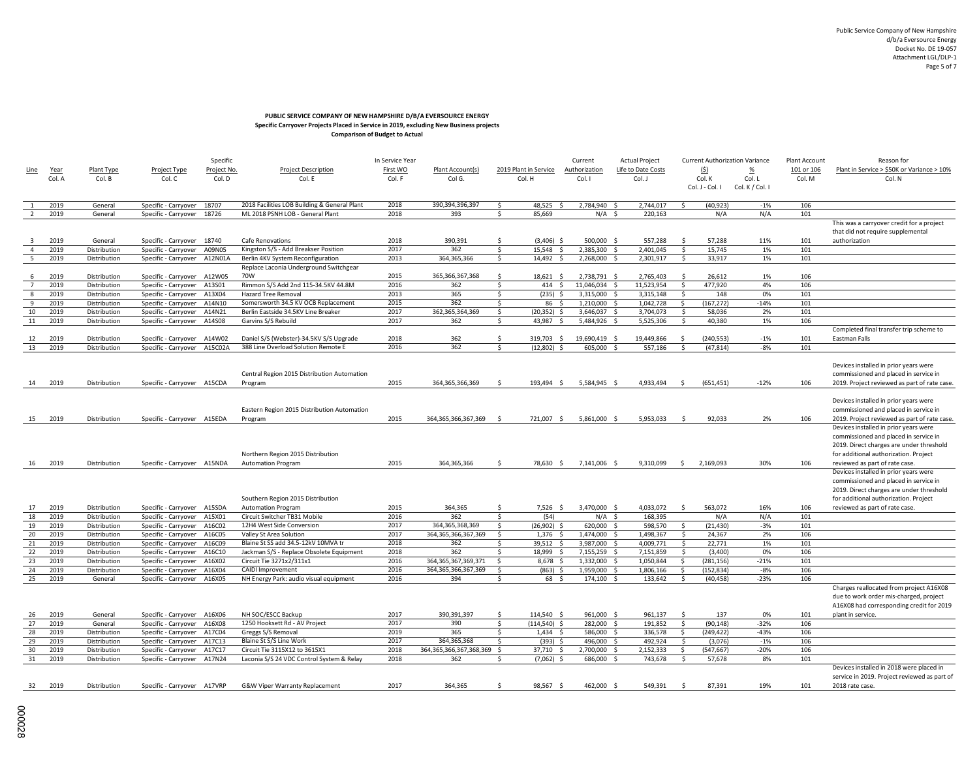# **PUBLIC SERVICE COMPANY OF NEW HAMPSHIRE D/B/A EVERSOURCE ENERGY Specific Carryover Projects Placed in Service in 2019, excluding New Business projects Comparison of Budget to Actual**

| Comparison of Budget to Actual |  |
|--------------------------------|--|
|                                |  |

|                |              |                              |                                                     | Specific    |                                                                                  | In Service Year |                                   |                    |                       | Current                  | <b>Actual Project</b> |                    |                 | <b>Current Authorization Variance</b> | Plant Account | Reason for                                   |
|----------------|--------------|------------------------------|-----------------------------------------------------|-------------|----------------------------------------------------------------------------------|-----------------|-----------------------------------|--------------------|-----------------------|--------------------------|-----------------------|--------------------|-----------------|---------------------------------------|---------------|----------------------------------------------|
| Line           | Year         | Plant Type                   | Project Type                                        | Project No. | <b>Project Description</b>                                                       | First WO        | Plant Account(s)                  |                    | 2019 Plant in Service | Authorization            | Life to Date Costs    |                    | (5)             | %                                     | 101 or 106    | Plant in Service > \$50K or Variance > 10%   |
|                | Col. A       | Col. B                       | Col. C                                              | Col. D      | Col. E                                                                           | Col. F          | Col G.                            |                    | Col. H                | Col. I                   | Col. J                |                    | Col. K          | Col. L                                | Col. M        | Col. N                                       |
|                |              |                              |                                                     |             |                                                                                  |                 |                                   |                    |                       |                          |                       |                    | Col. J - Col. I | Col. K / Col. I                       |               |                                              |
|                |              |                              |                                                     |             |                                                                                  |                 |                                   |                    |                       |                          |                       |                    |                 |                                       |               |                                              |
| $\overline{2}$ | 2019<br>2019 | General                      | Specific - Carryover 18707                          |             | 2018 Facilities LOB Building & General Plant<br>ML 2018 PSNH LOB - General Plant | 2018<br>2018    | 390.394.396.397<br>393            | Ŝ.<br>$\sf S$      | 48.525<br>85,669      | 2.784.940 \$<br>$N/A$ \$ | 2.744.017<br>220,163  | s.                 | (40.923)<br>N/A | $-1%$<br>N/A                          | 106<br>101    |                                              |
|                |              | General                      | Specific - Carryover 18726                          |             |                                                                                  |                 |                                   |                    |                       |                          |                       |                    |                 |                                       |               | This was a carryover credit for a project    |
|                |              |                              |                                                     |             |                                                                                  |                 |                                   |                    |                       |                          |                       |                    |                 |                                       |               | that did not require supplemental            |
| -3             | 2019         | General                      | Specific - Carryover 18740                          |             | Cafe Renovations                                                                 | 2018            | 390,391                           | Ŝ.                 | $(3,406)$ \$          | 500,000 \$               | 557,288               | -S                 | 57,288          | 11%                                   | 101           | authorization                                |
| $\overline{4}$ | 2019         | Distribution                 | Specific - Carryover                                | A09N05      | Kingston S/S - Add Breakser Position                                             | 2017            | 362                               | \$                 | 15,548 \$             | 2,385,300 \$             | 2,401,045             | $\mathsf{\hat{S}}$ | 15,745          | 1%                                    | 101           |                                              |
| 5              | 2019         | Distribution                 | Specific - Carryover A12N01A                        |             | Berlin 4KV System Reconfiguration                                                | 2013            | 364,365,366                       | $\mathsf{S}$       | 14,492<br>- \$        | 2,268,000 \$             | 2,301,917             | \$                 | 33,917          | 1%                                    | 101           |                                              |
|                |              |                              |                                                     |             | Replace Laconia Underground Switchgear                                           |                 |                                   |                    |                       |                          |                       |                    |                 |                                       |               |                                              |
| 6              | 2019         | Distribution                 | Specific - Carryover A12W05                         |             | 70W                                                                              | 2015            | 365, 366, 367, 368                | \$                 | 18,621 \$             | 2,738,791 \$             | 2,765,403             | -Ś.                | 26,612          | 1%                                    | 106           |                                              |
| $\overline{7}$ | 2019         | Distribution                 | Specific - Carryover                                | A13S01      | Rimmon S/S Add 2nd 115-34.5KV 44.8M                                              | 2016            | 362                               | $\mathsf{S}$       | 414S                  | 11,046,034 \$            | 11,523,954            | $\mathsf{S}$       | 477.920         | 4%                                    | 106           |                                              |
| 8              | 2019         | Distribution                 | Specific - Carryover                                | A13X04      | <b>Hazard Tree Removal</b>                                                       | 2013            | 365                               | S.                 | $(235)$ \$            | 3,315,000 \$             | 3,315,148             | \$                 | 148             | 0%                                    | 101           |                                              |
| $\mathbf{q}$   | 2019         | Distribution                 | Specific - Carryover                                | A14N10      | Somersworth 34.5 KV OCB Replacement                                              | 2015            | 362                               | $\mathsf{\hat{S}}$ | $86 \quad 5$          | 1,210,000 \$             | 1,042,728             | \$                 | (167, 272)      | $-14%$                                | 101           |                                              |
| 10             | 2019         | Distribution                 | Specific - Carryover                                | A14N21      | Berlin Eastside 34.5KV Line Breaker                                              | 2017            | 362,365,364,369                   | \$                 | $(20, 352)$ \$        | 3,646,037 \$             | 3,704,073             | -S                 | 58,036          | 2%                                    | 101           |                                              |
| 11             | 2019         | Distribution                 | Specific - Carryover                                | A14S08      | Garvins S/S Rebuild                                                              | 2017            | 362                               | Ŝ.                 | 43,987<br>- \$        | 5,484,926 \$             | 5,525,306             | Ŝ.                 | 40,380          | 1%                                    | 106           |                                              |
|                |              |                              |                                                     |             |                                                                                  |                 |                                   |                    |                       |                          |                       |                    |                 |                                       |               | Completed final transfer trip scheme to      |
| 12             | 2019         | Distribution                 | Specific - Carryover A14W02                         |             | Daniel S/S (Webster)-34.5KV S/S Upgrade                                          | 2018            | 362                               | \$<br>$\mathsf{s}$ | 319,703 \$            | 19,690,419 \$            | 19,449,866            | $\mathsf{S}$       | (240, 553)      | $-1%$                                 | 101           | Eastman Falls                                |
| 13             | 2019         | Distribution                 | Specific - Carryover A15C02A                        |             | 388 Line Overload Solution Remote E                                              | 2016            | 362                               |                    | $(12,802)$ \$         | 605,000                  | 557,186               | \$                 | (47, 814)       | $-8%$                                 | 101           |                                              |
|                |              |                              |                                                     |             |                                                                                  |                 |                                   |                    |                       |                          |                       |                    |                 |                                       |               | Devices installed in prior years were        |
|                |              |                              |                                                     |             | Central Region 2015 Distribution Automation                                      |                 |                                   |                    |                       |                          |                       |                    |                 |                                       |               | commissioned and placed in service in        |
| 14             | 2019         | Distribution                 | Specific - Carryover A15CDA                         |             | Program                                                                          | 2015            | 364, 365, 366, 369                | S.                 | 193,494 \$            | 5,584,945 \$             | 4,933,494             | S.                 | (651, 451)      | $-12%$                                | 106           | 2019. Project reviewed as part of rate case. |
|                |              |                              |                                                     |             |                                                                                  |                 |                                   |                    |                       |                          |                       |                    |                 |                                       |               |                                              |
|                |              |                              |                                                     |             |                                                                                  |                 |                                   |                    |                       |                          |                       |                    |                 |                                       |               | Devices installed in prior years were        |
|                |              |                              |                                                     |             | Eastern Region 2015 Distribution Automation                                      |                 |                                   |                    |                       |                          |                       |                    |                 |                                       |               | commissioned and placed in service in        |
| 15             | 2019         | Distribution                 | Specific - Carryover A15EDA                         |             | Program                                                                          | 2015            | 364, 365, 366, 367, 369           | - \$               | 721,007 \$            | 5,861,000 \$             | 5,953,033             | \$                 | 92,033          | 2%                                    | 106           | 2019. Project reviewed as part of rate case. |
|                |              |                              |                                                     |             |                                                                                  |                 |                                   |                    |                       |                          |                       |                    |                 |                                       |               | Devices installed in prior years were        |
|                |              |                              |                                                     |             |                                                                                  |                 |                                   |                    |                       |                          |                       |                    |                 |                                       |               | commissioned and placed in service in        |
|                |              |                              |                                                     |             |                                                                                  |                 |                                   |                    |                       |                          |                       |                    |                 |                                       |               | 2019. Direct charges are under threshold     |
|                |              |                              |                                                     |             | Northern Region 2015 Distribution                                                |                 |                                   |                    |                       |                          |                       |                    |                 |                                       |               | for additional authorization. Project        |
| 16             | 2019         | Distribution                 | Specific - Carryover A15NDA                         |             | <b>Automation Program</b>                                                        | 2015            | 364,365,366                       | - Ś                | 78,630 \$             | 7,141,006 \$             | 9,310,099             | $\mathsf{S}$       | 2,169,093       | 30%                                   | 106           | reviewed as part of rate case.               |
|                |              |                              |                                                     |             |                                                                                  |                 |                                   |                    |                       |                          |                       |                    |                 |                                       |               | Devices installed in prior years were        |
|                |              |                              |                                                     |             |                                                                                  |                 |                                   |                    |                       |                          |                       |                    |                 |                                       |               | commissioned and placed in service in        |
|                |              |                              |                                                     |             |                                                                                  |                 |                                   |                    |                       |                          |                       |                    |                 |                                       |               | 2019. Direct charges are under threshold     |
|                |              |                              |                                                     |             | Southern Region 2015 Distribution                                                |                 |                                   | Ŝ.                 |                       |                          |                       | Ŝ.                 |                 |                                       |               | for additional authorization. Project        |
| 17<br>18       | 2019<br>2019 | Distribution<br>Distribution | Specific - Carryover A15SDA<br>Specific - Carryover | A15X01      | <b>Automation Program</b><br>Circuit Switcher TB31 Mobile                        | 2015<br>2016    | 364,365<br>362                    | $\mathsf{S}$       | $7,526$ \$<br>(54)    | 3,470,000 \$<br>$N/A$ \$ | 4,033,072<br>168,395  |                    | 563,072<br>N/A  | 16%<br>N/A                            | 106<br>101    | reviewed as part of rate case.               |
| 19             | 2019         | Distribution                 | Specific - Carryover                                | A16C02      | 12H4 West Side Conversion                                                        | 2017            | 364, 365, 368, 369                | <sub>S</sub>       | $(26,902)$ \$         | 620,000 \$               | 598,570               | Ŝ.                 | (21, 430)       | $-3%$                                 | 101           |                                              |
| 20             | 2019         | Distribution                 | Specific - Carryover                                | A16C05      | Valley St Area Solution                                                          | 2017            | 364.365.366.367.369               | - Ś                | $1,376$ \$            | 1,474,000                | 1,498,367             | -Ś                 | 24.367          | 2%                                    | 106           |                                              |
| 21             | 2019         | Distribution                 | Specific - Carryover                                | A16C09      | Blaine St SS add 34.5-12kV 10MVA tr                                              | 2018            | 362                               | Ŝ.                 | 39,512 \$             | 3,987,000 \$             | 4,009,771             | Ŝ.                 | 22,771          | 1%                                    | 101           |                                              |
| 22             | 2019         | Distribution                 | Specific - Carryover                                | A16C10      | Jackman S/S - Replace Obsolete Equipment                                         | 2018            | 362                               | -Ś                 | 18.999 \$             | 7,155,259 \$             | 7,151,859             | Ŝ.                 | (3.400)         | 0%                                    | 106           |                                              |
| 23             | 2019         | Distribution                 | Specific - Carryover                                | A16X02      | Circuit Tie 3271x2/311x1                                                         | 2016            | 364, 365, 367, 369, 371           | -Ś                 | 8,678 \$              | 1,332,000 \$             | 1,050,844             | \$                 | (281, 156)      | $-21%$                                | 101           |                                              |
| 24             | 2019         | Distribution                 | Specific - Carryover                                | A16X04      | CAIDI Improvement                                                                | 2016            | 364, 365, 366, 367, 369           | -Ś                 | $(863)$ \$            | 1,959,000 \$             | 1,806,166             | S.                 | (152, 834)      | $-8%$                                 | 106           |                                              |
| 25             | 2019         | General                      | Specific - Carryover A16X05                         |             | NH Energy Park: audio visual equipment                                           | 2016            | 394                               | Ŝ.                 | 68 \$                 | 174,100 \$               | 133,642               | \$                 | (40, 458)       | $-23%$                                | 106           |                                              |
|                |              |                              |                                                     |             |                                                                                  |                 |                                   |                    |                       |                          |                       |                    |                 |                                       |               | Charges reallocated from project A16X08      |
|                |              |                              |                                                     |             |                                                                                  |                 |                                   |                    |                       |                          |                       |                    |                 |                                       |               | due to work order mis-charged, project       |
|                |              |                              |                                                     |             |                                                                                  |                 |                                   |                    |                       |                          |                       |                    |                 |                                       |               | A16X08 had corresponding credit for 2019     |
| 26             | 2019         | General                      | Specific - Carryover A16X06                         |             | NH SOC/ESCC Backup                                                               | 2017            | 390,391,397                       | \$                 | 114,540 \$            | 961,000 \$               | 961,137               | \$                 | 137             | 0%                                    | 101           | plant in service.                            |
| 27             | 2019         | General                      | Specific - Carryover A16X08                         |             | 1250 Hooksett Rd - AV Project                                                    | 2017            | 390                               | Ŝ.                 | $(114,540)$ \$        | 282,000 \$               | 191,852               | \$                 | (90, 148)       | $-32%$                                | 106           |                                              |
| 28             | 2019         | Distribution                 | Specific - Carryover                                | A17C04      | Greggs S/S Removal                                                               | 2019            | 365                               | Ŝ.                 | $1,434$ \$            | 586,000 \$               | 336,578               | \$                 | (249, 422)      | $-43%$                                | 106           |                                              |
| 29             | 2019         | Distribution                 | Specific - Carryover                                | A17C13      | Blaine St S/S Line Work                                                          | 2017            | 364.365.368                       | <sub>S</sub>       | $(393)$ \$            | 496,000 \$               | 492,924               | Ŝ.                 | (3,076)         | $-1%$                                 | 106           |                                              |
| 30<br>31       | 2019<br>2019 | Distribution                 | Specific - Carryover                                | A17C17      | Circuit Tie 3115X12 to 3615X1                                                    | 2018<br>2018    | 364,365,366,367,368,369 \$<br>362 | Ŝ.                 | 37,710 \$             | 2,700,000 \$             | 2,152,333             | \$<br>-Ś           | (547, 667)      | $-20%$<br>8%                          | 106           |                                              |
|                |              | Distribution                 | Specific - Carryover                                | A17N24      | Laconia S/S 24 VDC Control System & Relay                                        |                 |                                   |                    | $(7,062)$ \$          | 686,000 \$               | 743,678               |                    | 57,678          |                                       | 101           | Devices installed in 2018 were placed in     |
|                |              |                              |                                                     |             |                                                                                  |                 |                                   |                    |                       |                          |                       |                    |                 |                                       |               | service in 2019. Project reviewed as part of |
| 32             | 2019         | Distribution                 | Specific - Carryover A17VRP                         |             | G&W Viper Warranty Replacement                                                   | 2017            | 364,365                           | -Ś                 | 98,567 \$             | 462,000 \$               | 549,391               | -Ś.                | 87,391          | 19%                                   | 101           | 2018 rate case.                              |
|                |              |                              |                                                     |             |                                                                                  |                 |                                   |                    |                       |                          |                       |                    |                 |                                       |               |                                              |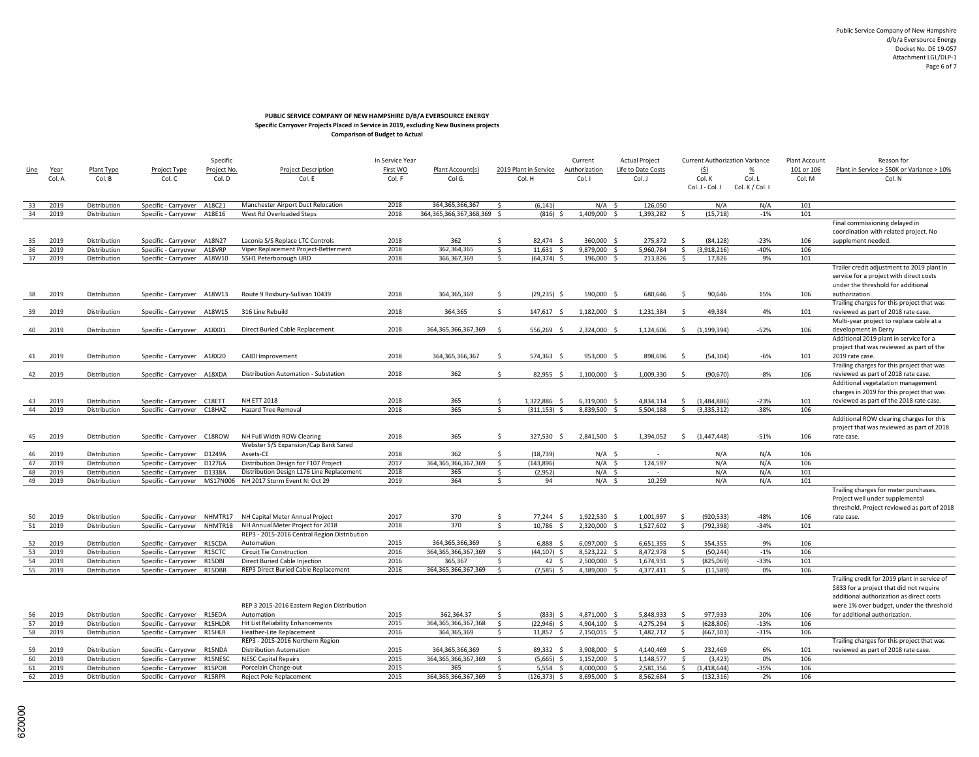# **PUBLIC SERVICE COMPANY OF NEW HAMPSHIRE D/B/A EVERSOURCE ENERGY Specific Carryover Projects Placed in Service in 2019, excluding New Business projects Comparison of Budget to Actual**

|             |        |              | Specific                    |             |                                                            | In Service Year |                            |              |                        | Current       |     | <b>Actual Project</b> |               |                 | <b>Current Authorization Variance</b> | Plant Account | Reason for                                   |
|-------------|--------|--------------|-----------------------------|-------------|------------------------------------------------------------|-----------------|----------------------------|--------------|------------------------|---------------|-----|-----------------------|---------------|-----------------|---------------------------------------|---------------|----------------------------------------------|
| <u>Line</u> | Year   | Plant Type   | <b>Project Type</b>         | Project No. | <b>Project Description</b>                                 | First WO        | Plant Account(s)           |              | 2019 Plant in Service  | Authorization |     | Life to Date Costs    |               | (5)             | %                                     | 101 or 106    | Plant in Service > \$50K or Variance > 10%   |
|             | Col. A | Col. B       | Col. C                      | Col. D      | Col. E                                                     | Col. F          | Col G.                     |              | Col. H                 | Col. I        |     | Col. J                |               | Col. K          | Col. L                                | Col. M        | Col. N                                       |
|             |        |              |                             |             |                                                            |                 |                            |              |                        |               |     |                       |               | Col. J - Col. I | Col. K / Col. I                       |               |                                              |
|             |        |              |                             |             |                                                            |                 |                            |              |                        |               |     |                       |               |                 |                                       |               |                                              |
| 33          | 2019   | Distribution | Specific - Carryover        | A18C21      | Manchester Airport Duct Relocation                         | 2018            | 364, 365, 366, 367         | Ŝ.           | (6, 141)               | $N/A$ \$      |     | 126,050               |               | N/A             | N/A                                   | 101           |                                              |
| 34          | 2019   | Distribution | Specific - Carryover        | A18E16      | West Rd Overloaded Steps                                   | 2018            | 364,365,366,367,368,369 \$ |              | $(816)$ \$             | 1,409,000     | -\$ | 1,393,282             | \$            | (15, 718)       | $-1%$                                 | 101           |                                              |
|             |        |              |                             |             |                                                            |                 |                            |              |                        |               |     |                       |               |                 |                                       |               | Final commissioning delayed in               |
|             |        |              |                             |             |                                                            |                 |                            |              |                        |               |     |                       |               |                 |                                       |               | coordination with related project. No        |
| 35          | 2019   | Distribution | Specific - Carryover        | A18N27      | Laconia S/S Replace LTC Controls                           | 2018            | 362                        | S.           | 82.474 \$              | 360,000 \$    |     | 275,872               | -S            | (84.128)        | $-23%$                                | 106           | supplement needed.                           |
| 36          | 2019   | Distribution | Specific - Carryover        | A18VRP      | Viper Replacement Project-Betterment                       | 2018            | 362.364.365                | S.           | $11,631$ \$            | 9,879,000 \$  |     | 5,960,784             | S.            | (3,918,216)     | $-40%$                                | 106           |                                              |
| 37          | 2019   | Distribution | Specific - Carryover        | A18W10      | 55H1 Peterborough URD                                      | 2018            | 366,367,369                | \$           | $(64, 374)$ \$         | 196,000 \$    |     | 213,826               | S.            | 17,826          | 9%                                    | 101           |                                              |
|             |        |              |                             |             |                                                            |                 |                            |              |                        |               |     |                       |               |                 |                                       |               | Trailer credit adjustment to 2019 plant in   |
|             |        |              |                             |             |                                                            |                 |                            |              |                        |               |     |                       |               |                 |                                       |               | service for a project with direct costs      |
|             |        |              |                             |             |                                                            |                 |                            |              |                        |               |     |                       |               |                 |                                       |               | under the threshold for additional           |
| 38          | 2019   | Distribution | Specific - Carryover A18W13 |             | Route 9 Roxbury-Sullivan 10439                             | 2018            | 364,365,369                | -Ś           | $(29, 235)$ \$         | 590,000 \$    |     | 680,646               | - \$          | 90,646          | 15%                                   | 106           | authorization.                               |
|             |        |              |                             |             |                                                            |                 |                            |              |                        |               |     |                       |               |                 |                                       |               | Trailing charges for this project that was   |
| 39          | 2019   | Distribution | Specific - Carryover        | A18W15      | 316 Line Rebuild                                           | 2018            | 364,365                    | \$           | 147,617 \$             | 1,182,000 \$  |     | 1,231,384             | \$            | 49,384          | 4%                                    | 101           | reviewed as part of 2018 rate case.          |
|             |        |              |                             |             |                                                            |                 |                            |              |                        |               |     |                       |               |                 |                                       |               | Multi-year project to replace cable at a     |
| 40          | 2019   | Distribution | Specific - Carryover A18X01 |             | Direct Buried Cable Replacement                            | 2018            | 364, 365, 366, 367, 369    | - Ś          | 556,269 \$             | 2,324,000 \$  |     | 1,124,606             | $\mathsf{S}$  | (1, 199, 394)   | $-52%$                                | 106           | development in Derry                         |
|             |        |              |                             |             |                                                            |                 |                            |              |                        |               |     |                       |               |                 |                                       |               | Additional 2019 plant in service for a       |
|             |        |              |                             |             |                                                            |                 |                            |              |                        |               |     |                       |               |                 |                                       |               | project that was reviewed as part of the     |
| 41          | 2019   | Distribution | Specific - Carryover A18X20 |             | CAIDI Improvement                                          | 2018            | 364, 365, 366, 367         | $\mathsf{S}$ | 574,363 \$             | 953,000 \$    |     | 898,696               | - \$          | (54, 304)       | $-6%$                                 | 101           | 2019 rate case.                              |
|             |        |              |                             |             |                                                            |                 |                            |              |                        |               |     |                       |               |                 |                                       |               | Trailing charges for this project that was   |
| 42          | 2019   | Distribution | Specific - Carryover A18XDA |             | Distribution Automation - Substation                       | 2018            | 362                        | \$           | 82,955 \$              | 1,100,000 \$  |     | 1,009,330             | -Ś            | (90, 670)       | $-8%$                                 | 106           | reviewed as part of 2018 rate case.          |
|             |        |              |                             |             |                                                            |                 |                            |              |                        |               |     |                       |               |                 |                                       |               | Additional vegetatation management           |
|             |        |              |                             |             |                                                            |                 |                            |              |                        |               |     |                       |               |                 |                                       |               | charges in 2019 for this project that was    |
| 43          | 2019   | Distribution | Specific - Carryover        | C18ETT      | <b>NH ETT 2018</b>                                         | 2018            | 365                        | \$           | 1,322,886 \$           | 6,319,000 \$  |     | 4,834,114             | \$            | (1,484,886)     | $-23%$                                | 101           | reviewed as part of the 2018 rate case.      |
| 44          | 2019   | Distribution | Specific - Carryover        | C18HAZ      | Hazard Tree Removal                                        | 2018            | 365                        | \$           | $(311, 153)$ \$        | 8,839,500     |     | 5,504,188             | $\mathsf{S}$  | (3, 335, 312)   | $-38%$                                | 106           |                                              |
|             |        |              |                             |             |                                                            |                 |                            |              |                        |               |     |                       |               |                 |                                       |               | Additional ROW clearing charges for this     |
|             |        |              |                             |             |                                                            |                 |                            |              |                        |               |     |                       |               |                 |                                       |               | project that was reviewed as part of 2018    |
| 45          | 2019   | Distribution | Specific - Carryover        | C18ROW      | NH Full Width ROW Clearing                                 | 2018            | 365                        | S.           | 327,530 \$             | 2,841,500 \$  |     | 1,394,052             |               | 5(1,447,448)    | $-51%$                                | 106           | rate case.                                   |
|             |        |              |                             |             | Webster S/S Expansion/Cap Bank Sared                       |                 |                            |              |                        |               |     |                       |               |                 |                                       |               |                                              |
| 46          | 2019   | Distribution | Specific - Carryover        | D1249A      | Assets-CE                                                  | 2018            | 362                        | \$           | (18, 739)              | $N/A$ \$      |     |                       |               | N/A             | N/A                                   | 106           |                                              |
| 47          | 2019   | Distribution | Specific - Carryover        | D1276A      | Distribution Design for F107 Project                       | 2017            | 364, 365, 366, 367, 369    | S.           | (143, 896)             | $N/A$ \$      |     | 124,597               |               | N/A             | N/A                                   | 106           |                                              |
| 48          | 2019   | Distribution | Specific - Carryover        | D1338A      | Distribution Design L176 Line Replacement                  | 2018            | 365                        | \$           | (2,952)                | $N/A$ \$      |     |                       |               | N/A             | N/A                                   | 101           |                                              |
| 49          | 2019   | Distribution | Specific - Carryover        | MS17N006    | NH 2017 Storm Event N: Oct 29                              | 2019            | 364                        | \$           | 94                     | $N/A$ \$      |     | 10,259                |               | N/A             | N/A                                   | 101           |                                              |
|             |        |              |                             |             |                                                            |                 |                            |              |                        |               |     |                       |               |                 |                                       |               | Trailing charges for meter purchases.        |
|             |        |              |                             |             |                                                            |                 |                            |              |                        |               |     |                       |               |                 |                                       |               | Project well under supplemental              |
|             |        |              |                             |             |                                                            |                 |                            |              |                        |               |     |                       |               |                 |                                       |               | threshold. Project reviewed as part of 2018  |
| 50          | 2019   | Distribution | Specific - Carryover        | NHMTR17     | NH Capital Meter Annual Project                            | 2017<br>2018    | 370<br>370                 | S.           | 77,244 \$              | 1,922,530 \$  |     | 1,001,997             | -Ś            | (920, 533)      | $-48%$                                | 106           | rate case.                                   |
| 51          | 2019   | Distribution | Specific - Carryover        | NHMTR18     | NH Annual Meter Project for 2018                           |                 |                            | S.           | 10,786<br>$\mathsf{s}$ | 2,320,000 \$  |     | 1,527,602             | S.            | (792, 398)      | $-34%$                                | 101           |                                              |
| 52          | 2019   | Distribution | Specific - Carryover        | R15CDA      | REP3 - 2015-2016 Central Region Distribution<br>Automation | 2015            | 364,365,366,369            | -Ś           | $6,888$ \$             | 6,097,000 \$  |     | 6,651,355             | <sup>\$</sup> | 554,355         | 9%                                    | 106           |                                              |
| 53          | 2019   | Distribution | Specific - Carryover        | R15CTC      | Circuit Tie Construction                                   | 2016            | 364, 365, 366, 367, 369    | S.           | $(44.107)$ \$          | 8,523,222 \$  |     | 8,472,978             | $\mathsf{S}$  | (50, 244)       | $-1%$                                 | 106           |                                              |
| 54          | 2019   | Distribution | Specific - Carryover        | R15DBI      | Direct Buried Cable Injection                              | 2016            | 365,367                    | S.           | 42 \$                  | 2,500,000 \$  |     | 1,674,931             | - Ś           | (825,069)       | $-33%$                                | 101           |                                              |
| 55          | 2019   | Distribution | Specific - Carryover        | R15DBR      | REP3 Direct Buried Cable Replacement                       | 2016            | 364, 365, 366, 367, 369    | S.           | $(7,585)$ \$           | 4,389,000 \$  |     | 4,377,411             | Ŝ.            | (11, 589)       | 0%                                    | 106           |                                              |
|             |        |              |                             |             |                                                            |                 |                            |              |                        |               |     |                       |               |                 |                                       |               | Trailing credit for 2019 plant in service of |
|             |        |              |                             |             |                                                            |                 |                            |              |                        |               |     |                       |               |                 |                                       |               | \$833 for a project that did not require     |
|             |        |              |                             |             |                                                            |                 |                            |              |                        |               |     |                       |               |                 |                                       |               | additional authorization as direct costs     |
|             |        |              |                             |             | REP 3 2015-2016 Eastern Region Distribution                |                 |                            |              |                        |               |     |                       |               |                 |                                       |               | were 1% over budget, under the threshold     |
| 56          | 2019   | Distribution | Specific - Carryover        | R15EDA      | Automation                                                 | 2015            | 362,364.37                 | Ŝ.           | $(833)$ \$             | 4,871,000 \$  |     | 5,848,933             | $\mathsf{s}$  | 977,933         | 20%                                   | 106           | for additional authorization                 |
| 57          | 2019   | Distribution | Specific - Carryover        | R15HLDR     | Hit List Reliability Enhancements                          | 2015            | 364, 365, 366, 367, 368    | $\mathsf{S}$ | (22, 946)<br>Ŝ.        | 4,904,100     | - Ś | 4,275,294             | S.            | (628, 806)      | $-13%$                                | 106           |                                              |
| 58          | 2019   | Distribution | Specific - Carryover        | R15HLR      | Heather-Lite Replacement                                   | 2016            | 364,365,369                | S.           | 11,857 \$              | 2,150,015 \$  |     | 1,482,712             | - \$          | (667, 303)      | $-31%$                                | 106           |                                              |
|             |        |              |                             |             | REP3 - 2015-2016 Northern Region                           |                 |                            |              |                        |               |     |                       |               |                 |                                       |               | Trailing charges for this project that was   |
| 59          | 2019   | Distribution | Specific - Carryover        | R15NDA      | <b>Distribution Automation</b>                             | 2015            | 364,365,366,369            | $\mathsf{S}$ | 89,332 \$              | 3,908,000 \$  |     | 4,140,469             | <sup>\$</sup> | 232,469         | 6%                                    | 101           | reviewed as part of 2018 rate case.          |
| 60          | 2019   | Distribution | Specific - Carryover        | R15NESC     | <b>NESC Capital Repairs</b>                                | 2015            | 364, 365, 366, 367, 369    | $\mathsf{S}$ | (5,665)<br>-Ś          | 1,152,000 \$  |     | 1,148,577             | Ŝ.            | (3, 423)        | 0%                                    | 106           |                                              |
| 61          | 2019   | Distribution | Specific - Carryover        | R15POR      | Porcelain Change-out                                       | 2015            | 365                        | \$           | 5,554<br><sup>\$</sup> | 4,000,000 \$  |     | 2,581,356             | \$            | (1,418,644)     | $-35%$                                | 106           |                                              |
| 62          | 2019   | Distribution | Specific - Carryover        | R15RPR      | Reject Pole Replacement                                    | 2015            | 364, 365, 366, 367, 369    | $\mathsf{S}$ | $(126, 373)$ \$        | 8,695,000     | - Ś | 8,562,684             | \$            | (132, 316)      | $-2%$                                 | 106           |                                              |